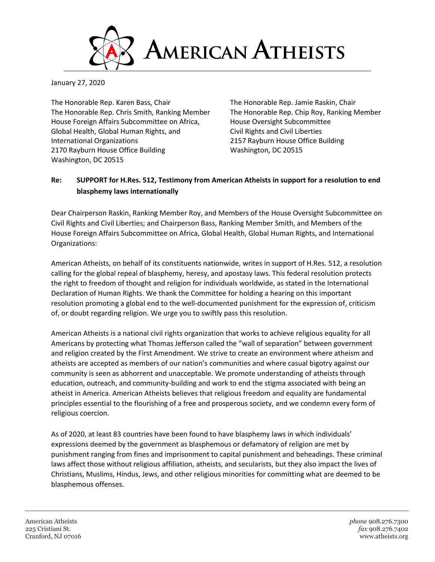

January 27, 2020

The Honorable Rep. Karen Bass, Chair The Honorable Rep. Jamie Raskin, Chair The Honorable Rep. Chris Smith, Ranking Member The Honorable Rep. Chip Roy, Ranking Member House Foreign Affairs Subcommittee on Africa, http://euse Oversight Subcommittee Global Health, Global Human Rights, and Civil Rights and Civil Liberties International Organizations 2157 Rayburn House Office Building 2170 Rayburn House Office Building Washington, DC 20515 Washington, DC 20515

## **Re: SUPPORT for H.Res. 512, Testimony from American Atheists in support for a resolution to end blasphemy laws internationally**

Dear Chairperson Raskin, Ranking Member Roy, and Members of the House Oversight Subcommittee on Civil Rights and Civil Liberties; and Chairperson Bass, Ranking Member Smith, and Members of the House Foreign Affairs Subcommittee on Africa, Global Health, Global Human Rights, and International Organizations:

American Atheists, on behalf of its constituents nationwide, writes in support of H.Res. 512, a resolution calling for the global repeal of blasphemy, heresy, and apostasy laws. This federal resolution protects the right to freedom of thought and religion for individuals worldwide, as stated in the International Declaration of Human Rights. We thank the Committee for holding a hearing on this important resolution promoting a global end to the well-documented punishment for the expression of, criticism of, or doubt regarding religion. We urge you to swiftly pass this resolution.

American Atheists is a national civil rights organization that works to achieve religious equality for all Americans by protecting what Thomas Jefferson called the "wall of separation" between government and religion created by the First Amendment. We strive to create an environment where atheism and atheists are accepted as members of our nation's communities and where casual bigotry against our community is seen as abhorrent and unacceptable. We promote understanding of atheists through education, outreach, and community-building and work to end the stigma associated with being an atheist in America. American Atheists believes that religious freedom and equality are fundamental principles essential to the flourishing of a free and prosperous society, and we condemn every form of religious coercion.

As of 2020, at least 83 countries have been found to have blasphemy laws in which individuals' expressions deemed by the government as blasphemous or defamatory of religion are met by punishment ranging from fines and imprisonment to capital punishment and beheadings. These criminal laws affect those without religious affiliation, atheists, and secularists, but they also impact the lives of Christians, Muslims, Hindus, Jews, and other religious minorities for committing what are deemed to be blasphemous offenses.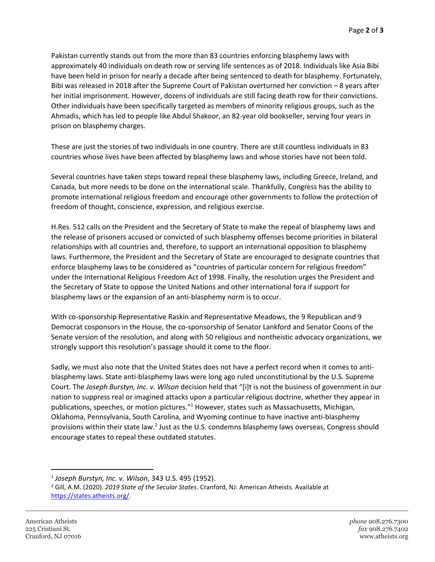Pakistan currently stands out from the more than 83 countries enforcing blasphemy laws with approximately 40 individuals on death row or serving life sentences as of 2018. Individuals like Asia Bibi have been held in prison for nearly a decade after being sentenced to death for blasphemy. Fortunately, Bibi was released in 2018 after the Supreme Court of Pakistan overturned her conviction – 8 years after her initial imprisonment. However, dozens of individuals are still facing death row for their convictions. Other individuals have been specifically targeted as members of minority religious groups, such as the Ahmadis, which has led to people like Abdul Shakoor, an 82-year old bookseller, serving four years in prison on blasphemy charges.

These are just the stories of two individuals in one country. There are still countless individuals in 83 countries whose lives have been affected by blasphemy laws and whose stories have not been told.

Several countries have taken steps toward repeal these blasphemy laws, including Greece, Ireland, and Canada, but more needs to be done on the international scale. Thankfully, Congress has the ability to promote international religious freedom and encourage other governments to follow the protection of freedom of thought, conscience, expression, and religious exercise.

H.Res. 512 calls on the President and the Secretary of State to make the repeal of blasphemy laws and the release of prisoners accused or convicted of such blasphemy offenses become priorities in bilateral relationships with all countries and, therefore, to support an international opposition to blasphemy laws. Furthermore, the President and the Secretary of State are encouraged to designate countries that enforce blasphemy laws to be considered as "countries of particular concern for religious freedom" under the International Religious Freedom Act of 1998. Finally, the resolution urges the President and the Secretary of State to oppose the United Nations and other international fora if support for blasphemy laws or the expansion of an anti-blasphemy norm is to occur.

With co-sponsorship Representative Raskin and Representative Meadows, the 9 Republican and 9 Democrat cosponsors in the House, the co-sponsorship of Senator Lankford and Senator Coons of the Senate version of the resolution, and along with 50 religious and nontheistic advocacy organizations, we strongly support this resolution's passage should it come to the floor.

Sadly, we must also note that the United States does not have a perfect record when it comes to antiblasphemy laws. State anti-blasphemy laws were long ago ruled unconstitutional by the U.S. Supreme Court. The *Joseph Burstyn, Inc. v. Wilson* decision held that "[i]t is not the business of government in our nation to suppress real or imagined attacks upon a particular religious doctrine, whether they appear in publications, speeches, or motion pictures."<sup>1</sup> However, states such as Massachusetts, Michigan, Oklahoma, Pennsylvania, South Carolina, and Wyoming continue to have inactive anti-blasphemy provisions within their state law.<sup>2</sup> Just as the U.S. condemns blasphemy laws overseas, Congress should encourage states to repeal these outdated statutes.

 $\overline{a}$ 

<sup>1</sup> *Joseph Burstyn, Inc. v. Wilson*, 343 U.S. 495 (1952).

<sup>2</sup> Gill, A.M. (2020). *2019 State of the Secular States*. Cranford, NJ: American Atheists. Available at [https://states.atheists.org/.](https://states.atheists.org/)